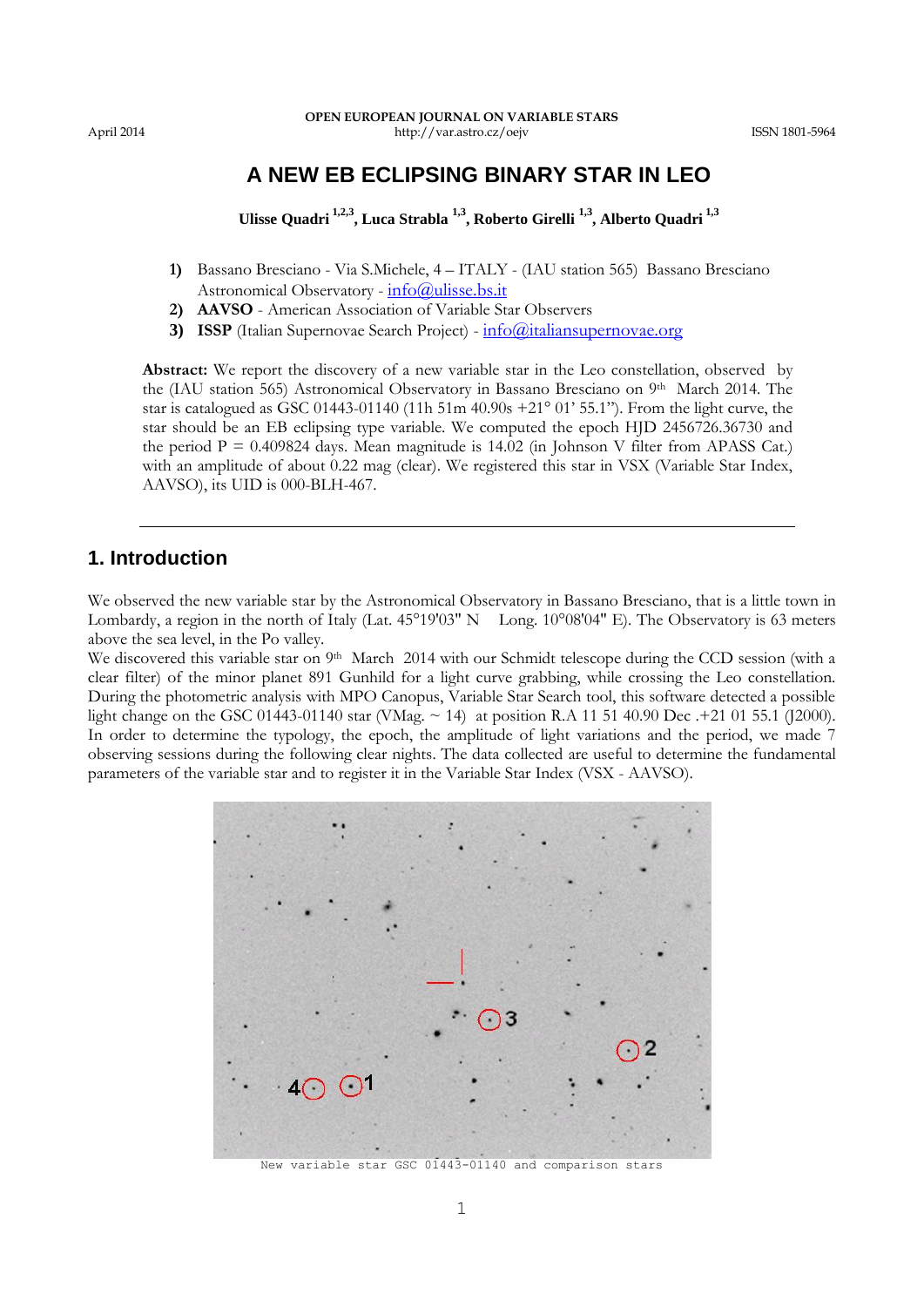# **A NEW EB ECLIPSING BINARY STAR IN LEO**

**Ulisse Quadri 1,2,3, Luca Strabla 1,3 , Roberto Girelli 1,3 , Alberto Quadri 1,3**

- **1)** Bassano Bresciano Via S.Michele, 4 ITALY (IAU station 565) Bassano Bresciano Astronomical Observatory -  $info@$ ulisse.bs.it
- **2) AAVSO**  American Association of Variable Star Observers
- **3) ISSP** (Italian Supernovae Search Project)  $\frac{info(@)$ italiansupernovae.org

**Abstract:** We report the discovery of a new variable star in the Leo constellation, observed by the (IAU station 565) Astronomical Observatory in Bassano Bresciano on 9th March 2014. The star is catalogued as GSC 01443-01140 (11h 51m 40.90s +21° 01' 55.1"). From the light curve, the star should be an EB eclipsing type variable. We computed the epoch HJD 2456726.36730 and the period  $P = 0.409824$  days. Mean magnitude is 14.02 (in Johnson V filter from APASS Cat.) with an amplitude of about 0.22 mag (clear). We registered this star in VSX (Variable Star Index, AAVSO), its UID is 000-BLH-467.

## **1. Introduction**

We observed the new variable star by the Astronomical Observatory in Bassano Bresciano, that is a little town in Lombardy, a region in the north of Italy (Lat. 45°19'03" N Long. 10°08'04" E). The Observatory is 63 meters above the sea level, in the Po valley.

We discovered this variable star on 9<sup>th</sup> March 2014 with our Schmidt telescope during the CCD session (with a clear filter) of the minor planet 891 Gunhild for a light curve grabbing, while crossing the Leo constellation. During the photometric analysis with MPO Canopus, Variable Star Search tool, this software detected a possible light change on the GSC 01443-01140 star (VMag. ~ 14) at position R.A 11 51 40.90 Dec .+21 01 55.1 (J2000). In order to determine the typology, the epoch, the amplitude of light variations and the period, we made 7 observing sessions during the following clear nights. The data collected are useful to determine the fundamental parameters of the variable star and to register it in the Variable Star Index (VSX - AAVSO).



New variable star GSC 01443-01140 and comparison stars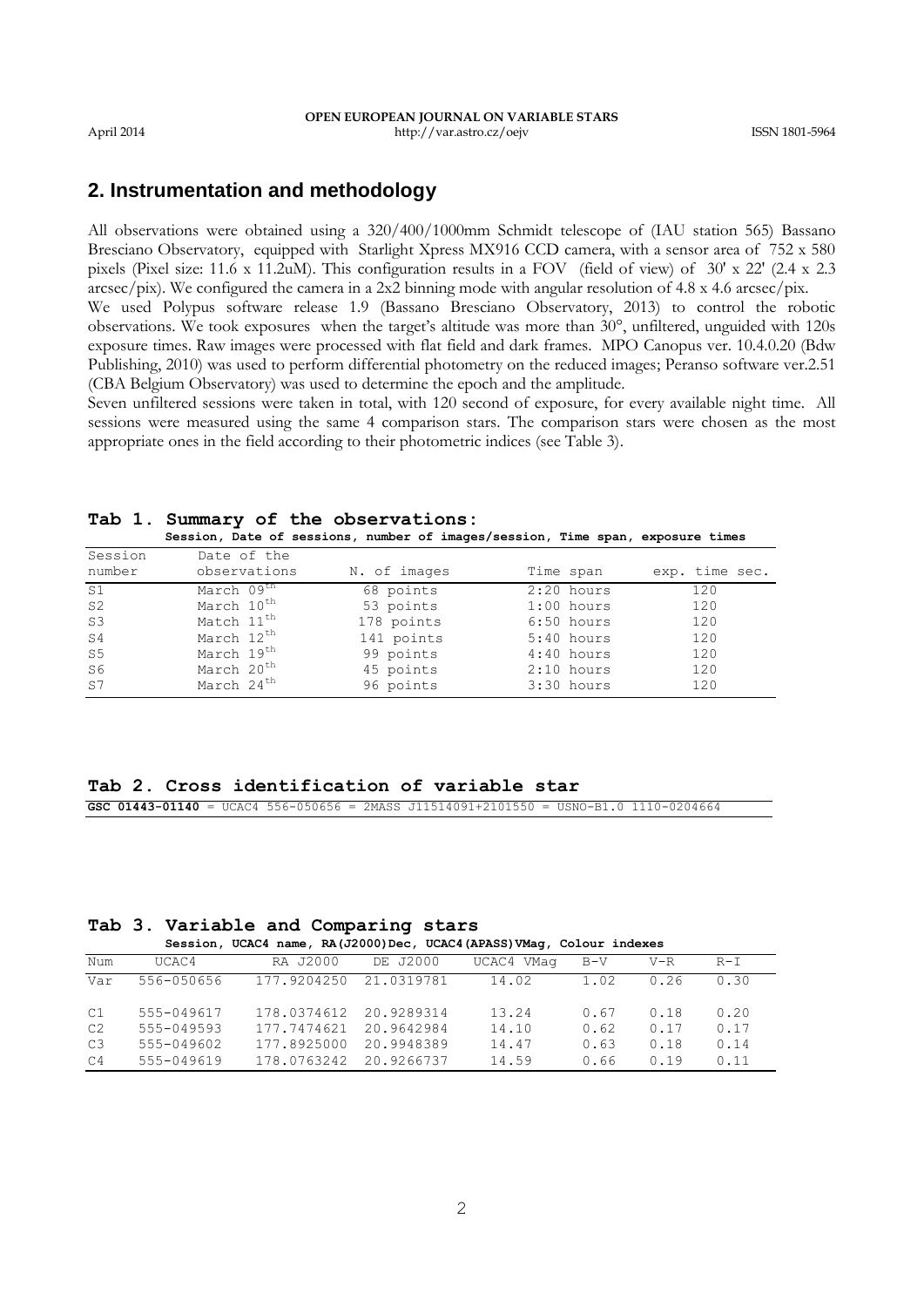## **2. Instrumentation and methodology**

All observations were obtained using a 320/400/1000mm Schmidt telescope of (IAU station 565) Bassano Bresciano Observatory, equipped with Starlight Xpress MX916 CCD camera, with a sensor area of 752 x 580 pixels (Pixel size: 11.6 x 11.2uM). This configuration results in a FOV (field of view) of 30' x 22' (2.4 x 2.3  $\arcsec/pix$ ). We configured the camera in a 2x2 binning mode with angular resolution of 4.8 x 4.6 arcsec/pix. We used Polypus software release 1.9 (Bassano Bresciano Observatory, 2013) to control the robotic

observations. We took exposures when the target's altitude was more than 30°, unfiltered, unguided with 120s exposure times. Raw images were processed with flat field and dark frames. MPO Canopus ver. 10.4.0.20 (Bdw Publishing, 2010) was used to perform differential photometry on the reduced images; Peranso software ver.2.51 (CBA Belgium Observatory) was used to determine the epoch and the amplitude.

Seven unfiltered sessions were taken in total, with 120 second of exposure, for every available night time. All sessions were measured using the same 4 comparison stars. The comparison stars were chosen as the most appropriate ones in the field according to their photometric indices (see Table 3).

|  | Tab 1. Summary of the observations:                                            |
|--|--------------------------------------------------------------------------------|
|  | Session, Date of sessions, number of images/session, Time span, exposure times |
|  |                                                                                |

| Session        | Date of the            |              |              |                |
|----------------|------------------------|--------------|--------------|----------------|
| number         | observations           | N. of images | Time span    | exp. time sec. |
| S1             | March 09 <sup>th</sup> | 68 points    | $2:20$ hours | 120            |
| S <sub>2</sub> | March 10 <sup>th</sup> | 53 points    | $1:00$ hours | 120            |
| S <sub>3</sub> | Match 11 <sup>th</sup> | 178 points   | $6:50$ hours | 120            |
| S <sub>4</sub> | March 12 <sup>th</sup> | 141 points   | $5:40$ hours | 120            |
| S5             | March 19 <sup>th</sup> | 99 points    | $4:40$ hours | 120            |
| S6             | March 20 <sup>th</sup> | 45 points    | $2:10$ hours | 120            |
| S <sub>7</sub> | March 24 <sup>th</sup> | 96 points    | $3:30$ hours | 120            |

### **Tab 2. Cross identification of variable star**

**GSC 01443-01140** = UCAC4 556-050656 = 2MASS J11514091+2101550 = USNO-B1.0 1110-0204664

## **Tab 3. Variable and Comparing stars**

|  |  |  | Session, UCAC4 name, RA(J2000)Dec, UCAC4(APASS)VMaq, Colour indexes |  |
|--|--|--|---------------------------------------------------------------------|--|
|--|--|--|---------------------------------------------------------------------|--|

| Num            | UCAC4      | RA J2000    | DE J2000   | UCAC4 VMaq | $B-V$ | $V-R$ | $R-I$ |
|----------------|------------|-------------|------------|------------|-------|-------|-------|
| Var            | 556-050656 | 177.9204250 | 21.0319781 | 14.02      | 1.02  | 0.26  | 0.30  |
| C1             | 555-049617 | 178.0374612 | 20.9289314 | 13.24      | 0.67  | 0.18  | 0.20  |
| C <sub>2</sub> | 555-049593 | 177.7474621 | 20.9642984 | 14.10      | 0.62  | 0.17  | 0.17  |
| C3             | 555-049602 | 177.8925000 | 20.9948389 | 14.47      | 0.63  | 0.18  | 0.14  |
| C <sub>4</sub> | 555-049619 | 178.0763242 | 20.9266737 | 14.59      | 0.66  | 0.19  | 0.11  |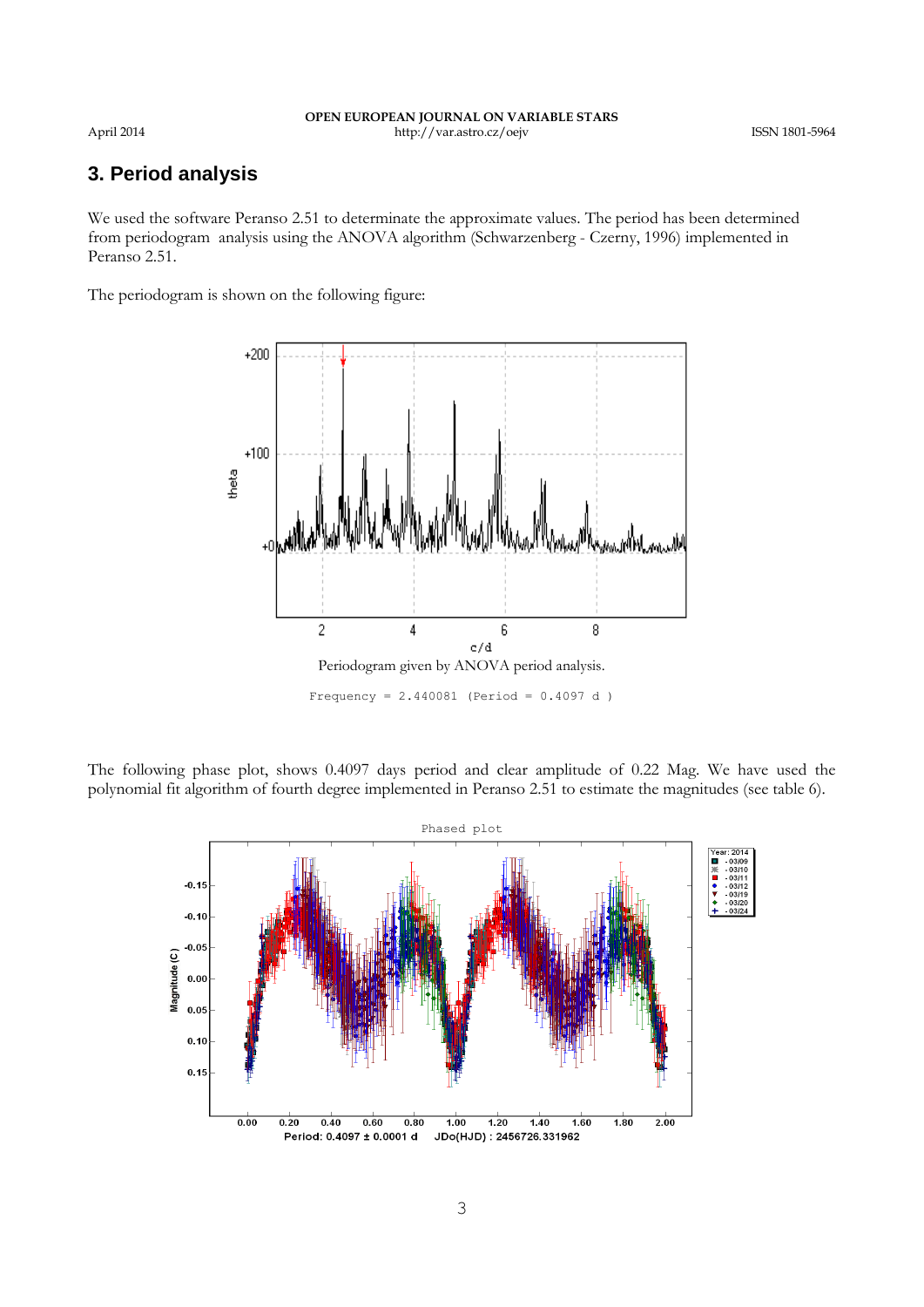### **OPEN EUROPEAN JOURNAL ON VARIABLE STARS** April 2014 http://var.astro.cz/oejv ISSN 1801-5964

# **3. Period analysis**

We used the software Peranso 2.51 to determinate the approximate values. The period has been determined from periodogram analysis using the ANOVA algorithm (Schwarzenberg - Czerny, 1996) implemented in Peranso 2.51.

The periodogram is shown on the following figure:



The following phase plot, shows 0.4097 days period and clear amplitude of 0.22 Mag. We have used the polynomial fit algorithm of fourth degree implemented in Peranso 2.51 to estimate the magnitudes (see table 6).

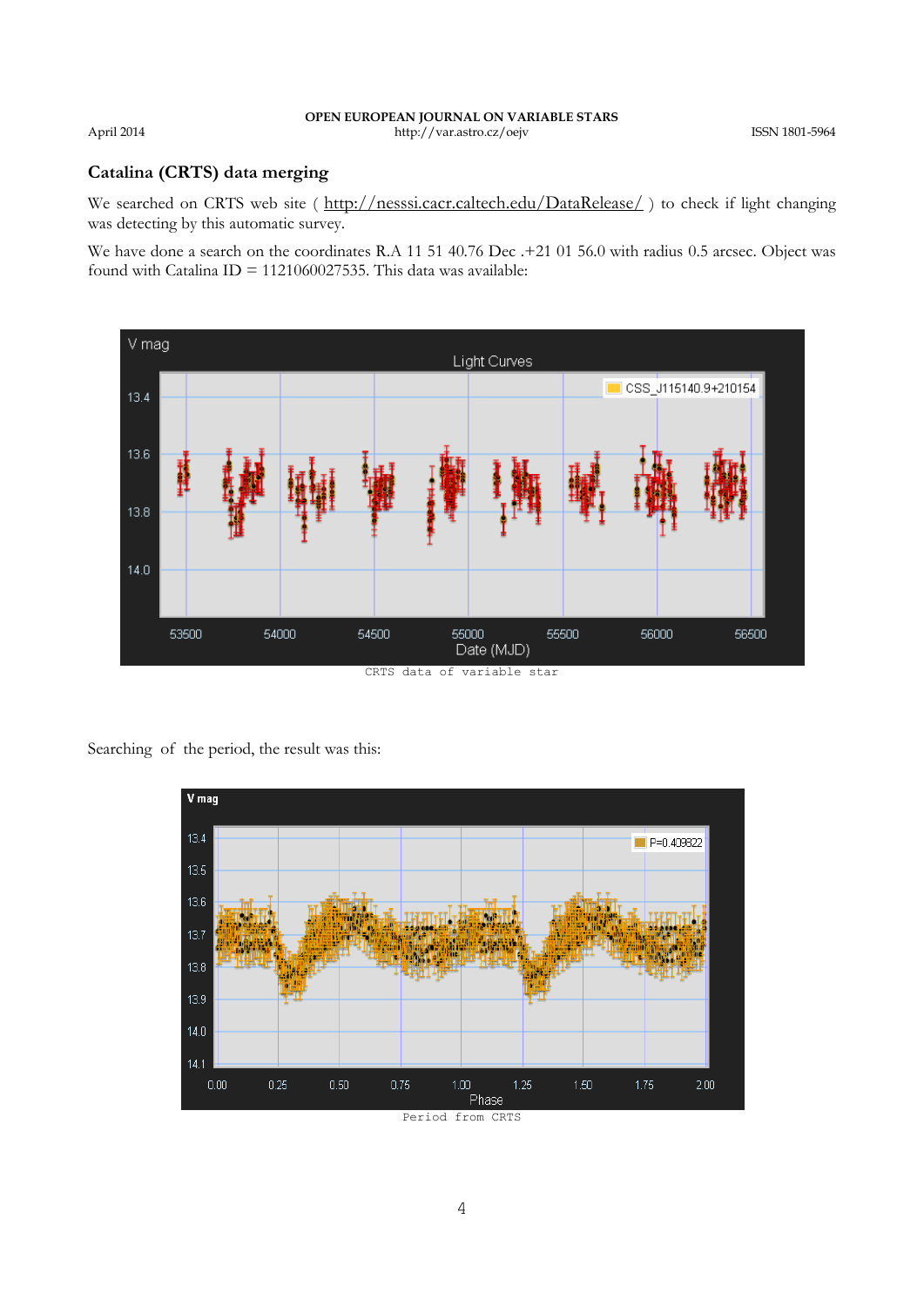## **Catalina (CRTS) data merging**

We searched on CRTS web site ( <http://nesssi.cacr.caltech.edu/DataRelease/>) to check if light changing was detecting by this automatic survey.

We have done a search on the coordinates R.A 11 51 40.76 Dec .+21 01 56.0 with radius 0.5 arcsec. Object was found with Catalina  $ID = 1121060027535$ . This data was available:



CRTS data of variable star

Searching of the period, the result was this:

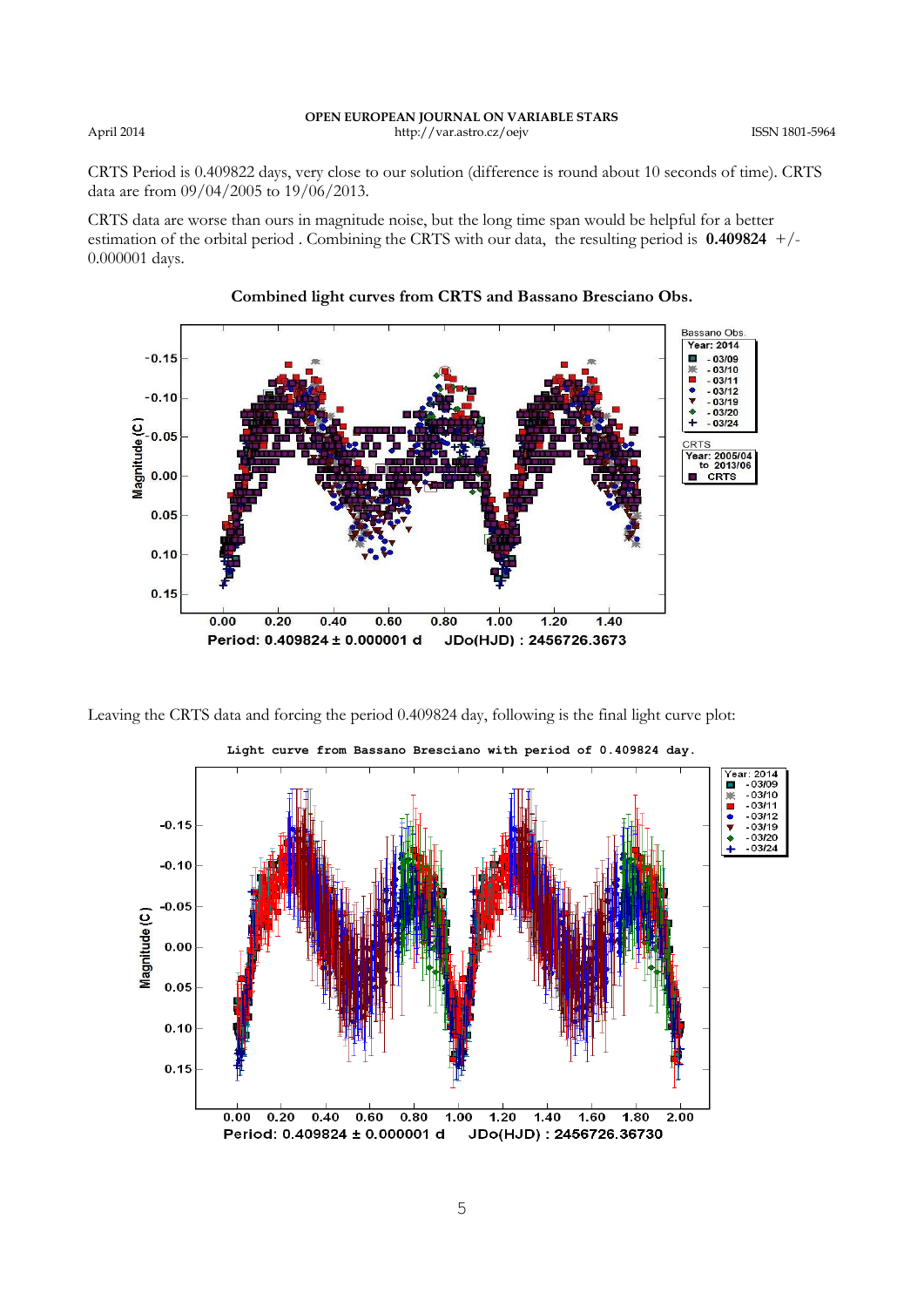CRTS Period is 0.409822 days, very close to our solution (difference is round about 10 seconds of time). CRTS data are from 09/04/2005 to 19/06/2013.

CRTS data are worse than ours in magnitude noise, but the long time span would be helpful for a better estimation of the orbital period . Combining the CRTS with our data, the resulting period is **0.409824** +/- 0.000001 days.



## **Combined light curves from CRTS and Bassano Bresciano Obs.**





**Light curve from Bassano Bresciano with period of 0.409824 day.**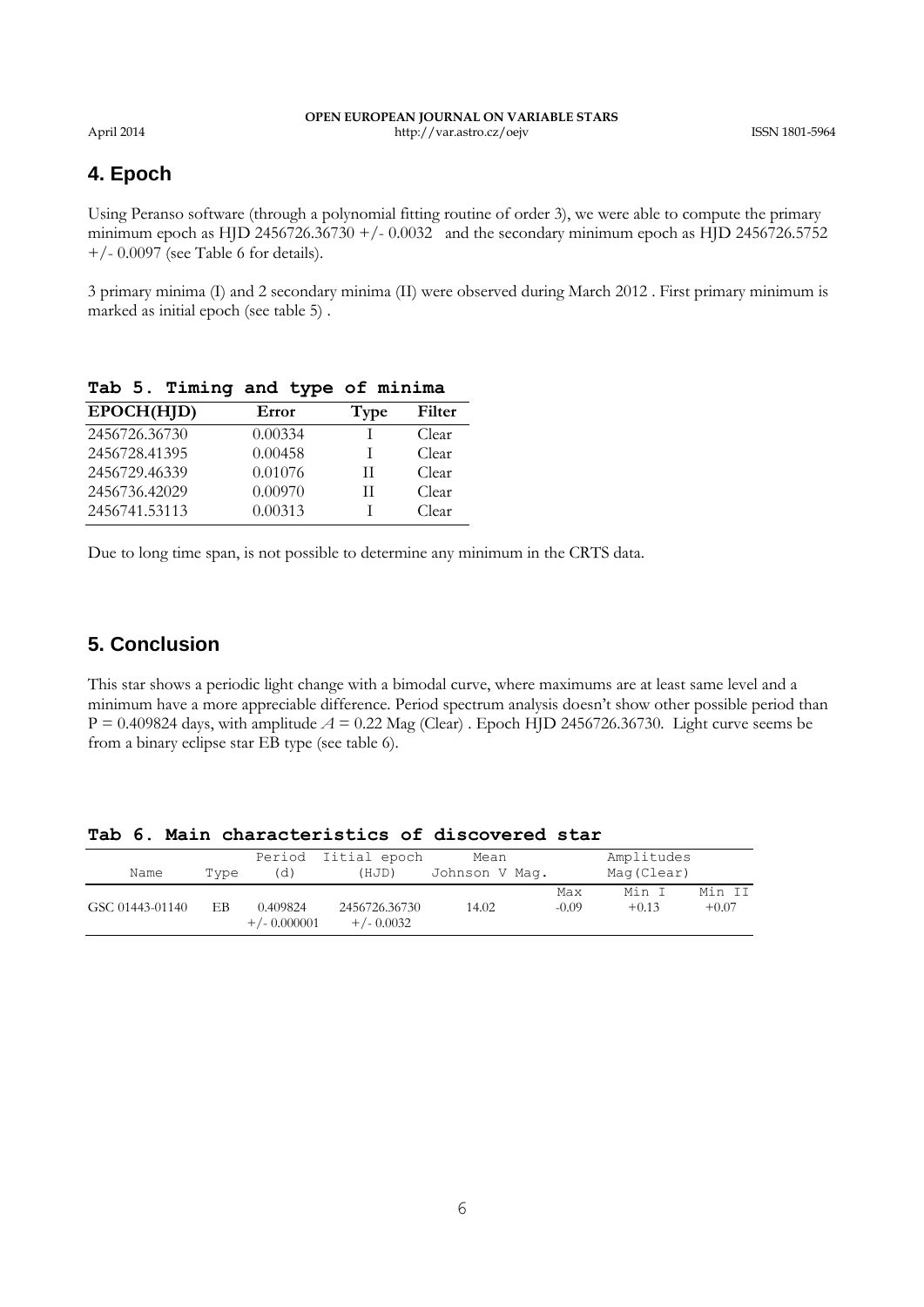### **OPEN EUROPEAN JOURNAL ON VARIABLE STARS** April 2014 http://var.astro.cz/oejv ISSN 1801-5964

# **4. Epoch**

Using Peranso software (through a polynomial fitting routine of order 3), we were able to compute the primary minimum epoch as HJD 2456726.36730 +/- 0.0032 and the secondary minimum epoch as HJD 2456726.5752  $+/- 0.0097$  (see Table 6 for details).

3 primary minima (I) and 2 secondary minima (II) were observed during March 2012 . First primary minimum is marked as initial epoch (see table 5) .

| EPOCH(HJD)    | Error   | Type | Filter |
|---------------|---------|------|--------|
| 2456726.36730 | 0.00334 |      | Clear  |
| 2456728.41395 | 0.00458 |      | Clear  |
| 2456729.46339 | 0.01076 | Н    | Clear  |
| 2456736.42029 | 0.00970 | H    | Clear  |
| 2456741.53113 | 0.00313 |      | Clear  |

**Tab 5. Timing and type of minima**

Due to long time span, is not possible to determine any minimum in the CRTS data.

# **5. Conclusion**

This star shows a periodic light change with a bimodal curve, where maximums are at least same level and a minimum have a more appreciable difference. Period spectrum analysis doesn't show other possible period than  $P = 0.409824$  days, with amplitude  $A = 0.22$  Mag (Clear). Epoch HJD 2456726.36730. Light curve seems be from a binary eclipse star EB type (see table 6).

|  |  |  | Tab 6. Main characteristics of discovered star |  |  |  |
|--|--|--|------------------------------------------------|--|--|--|
|--|--|--|------------------------------------------------|--|--|--|

|                 |      | Period                     | Iitial epoch                  | Mean           |         | Amplitudes |         |
|-----------------|------|----------------------------|-------------------------------|----------------|---------|------------|---------|
| Name            | Type | (d)                        | (HJD)                         | Johnson V Mag. |         | Mag(Clear) |         |
|                 |      |                            |                               |                | Max     | Min I      | Min II  |
| GSC 01443-01140 | EВ   | 0.409824<br>$+/- 0.000001$ | 2456726.36730<br>$+/- 0.0032$ | 14.02          | $-0.09$ | $+0.13$    | $+0.07$ |